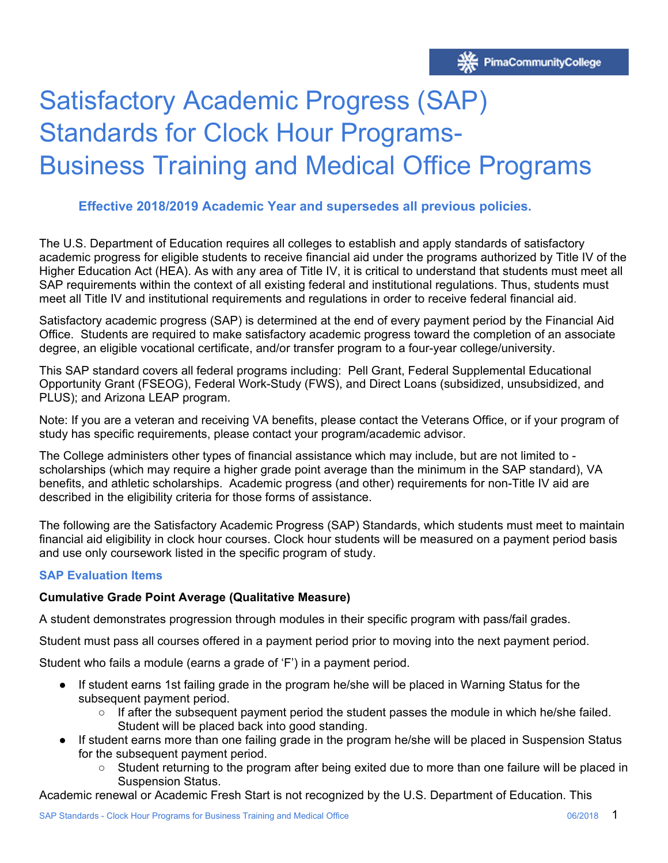# Satisfactory Academic Progress (SAP) Standards for Clock Hour Programs-Business Training and Medical Office Programs

# **Effective 2018/2019 Academic Year and supersedes all previous policies.**

The U.S. Department of Education requires all colleges to establish and apply standards of satisfactory academic progress for eligible students to receive financial aid under the programs authorized by Title IV of the Higher Education Act (HEA). As with any area of Title IV, it is critical to understand that students must meet all SAP requirements within the context of all existing federal and institutional regulations. Thus, students must meet all Title IV and institutional requirements and regulations in order to receive federal financial aid.

Satisfactory academic progress (SAP) is determined at the end of every payment period by the Financial Aid Office. Students are required to make satisfactory academic progress toward the completion of an associate degree, an eligible vocational certificate, and/or transfer program to a four-year college/university.

This SAP standard covers all federal programs including: Pell Grant, Federal Supplemental Educational Opportunity Grant (FSEOG), Federal Work-Study (FWS), and Direct Loans (subsidized, unsubsidized, and PLUS); and Arizona LEAP program.

Note: If you are a veteran and receiving VA benefits, please contact the Veterans Office, or if your program of study has specific requirements, please contact your program/academic advisor.

 benefits, and athletic scholarships. Academic progress (and other) requirements for non-Title IV aid are The College administers other types of financial assistance which may include, but are not limited to scholarships (which may require a higher grade point average than the minimum in the SAP standard), VA described in the eligibility criteria for those forms of assistance.

The following are the Satisfactory Academic Progress (SAP) Standards, which students must meet to maintain financial aid eligibility in clock hour courses. Clock hour students will be measured on a payment period basis and use only coursework listed in the specific program of study.

#### **SAP Evaluation Items**

#### **Cumulative Grade Point Average (Qualitative Measure)**

A student demonstrates progression through modules in their specific program with pass/fail grades.

Student must pass all courses offered in a payment period prior to moving into the next payment period.

Student who fails a module (earns a grade of 'F') in a payment period.

- If student earns 1st failing grade in the program he/she will be placed in Warning Status for the subsequent payment period.
	- $\circ$  If after the subsequent payment period the student passes the module in which he/she failed. Student will be placed back into good standing.
- If student earns more than one failing grade in the program he/she will be placed in Suspension Status for the subsequent payment period.
	- Student returning to the program after being exited due to more than one failure will be placed in Suspension Status.

Academic renewal or Academic Fresh Start is not recognized by the U.S. Department of Education. This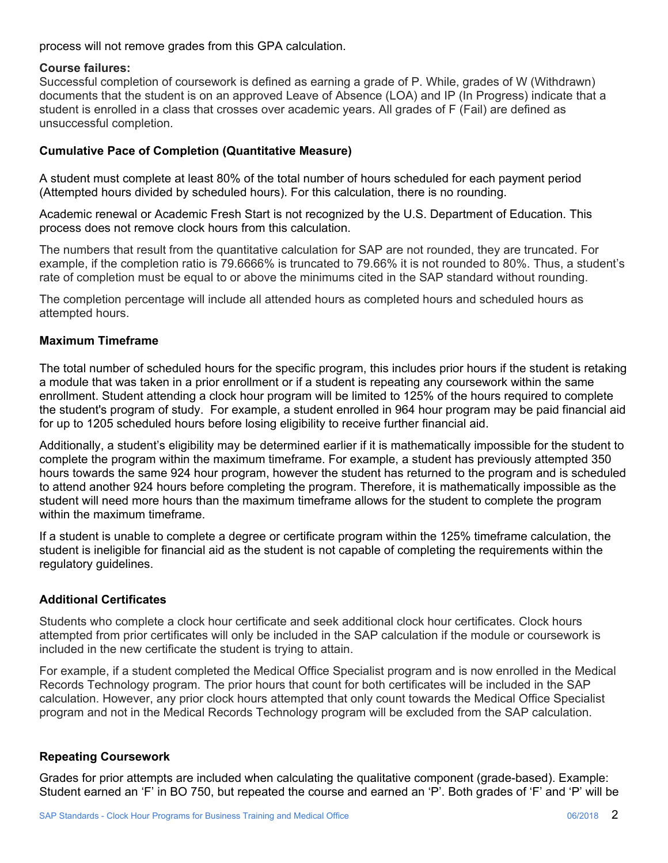process will not remove grades from this GPA calculation.

#### **Course failures:**

Successful completion of coursework is defined as earning a grade of P. While, grades of W (Withdrawn) documents that the student is on an approved Leave of Absence (LOA) and IP (In Progress) indicate that a student is enrolled in a class that crosses over academic years. All grades of F (Fail) are defined as unsuccessful completion.

### **Cumulative Pace of Completion (Quantitative Measure)**

A student must complete at least 80% of the total number of hours scheduled for each payment period (Attempted hours divided by scheduled hours). For this calculation, there is no rounding.

Academic renewal or Academic Fresh Start is not recognized by the U.S. Department of Education. This process does not remove clock hours from this calculation.

The numbers that result from the quantitative calculation for SAP are not rounded, they are truncated. For example, if the completion ratio is 79.6666% is truncated to 79.66% it is not rounded to 80%. Thus, a student's rate of completion must be equal to or above the minimums cited in the SAP standard without rounding.

The completion percentage will include all attended hours as completed hours and scheduled hours as attempted hours.

#### **Maximum Timeframe**

The total number of scheduled hours for the specific program, this includes prior hours if the student is retaking a module that was taken in a prior enrollment or if a student is repeating any coursework within the same enrollment. Student attending a clock hour program will be limited to 125% of the hours required to complete the student's program of study. For example, a student enrolled in 964 hour program may be paid financial aid for up to 1205 scheduled hours before losing eligibility to receive further financial aid.

Additionally, a student's eligibility may be determined earlier if it is mathematically impossible for the student to complete the program within the maximum timeframe. For example, a student has previously attempted 350 hours towards the same 924 hour program, however the student has returned to the program and is scheduled to attend another 924 hours before completing the program. Therefore, it is mathematically impossible as the student will need more hours than the maximum timeframe allows for the student to complete the program within the maximum timeframe.

If a student is unable to complete a degree or certificate program within the 125% timeframe calculation, the student is ineligible for financial aid as the student is not capable of completing the requirements within the regulatory guidelines.

#### **Additional Certificates**

Students who complete a clock hour certificate and seek additional clock hour certificates. Clock hours attempted from prior certificates will only be included in the SAP calculation if the module or coursework is included in the new certificate the student is trying to attain.

For example, if a student completed the Medical Office Specialist program and is now enrolled in the Medical Records Technology program. The prior hours that count for both certificates will be included in the SAP calculation. However, any prior clock hours attempted that only count towards the Medical Office Specialist program and not in the Medical Records Technology program will be excluded from the SAP calculation.

#### **Repeating Coursework**

Grades for prior attempts are included when calculating the qualitative component (grade-based). Example: Student earned an 'F' in BO 750, but repeated the course and earned an 'P'. Both grades of 'F' and 'P' will be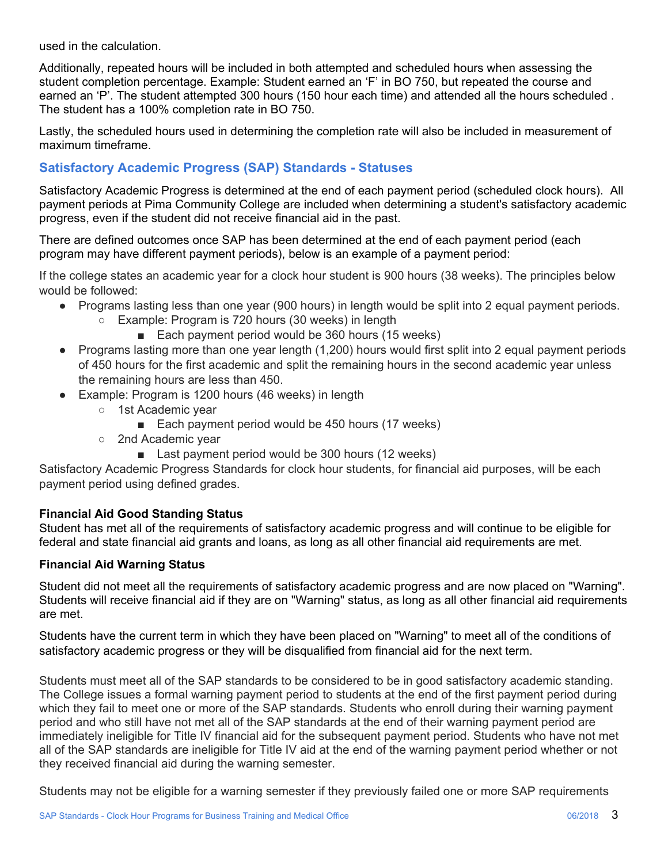used in the calculation.

Additionally, repeated hours will be included in both attempted and scheduled hours when assessing the student completion percentage. Example: Student earned an 'F' in BO 750, but repeated the course and earned an 'P'. The student attempted 300 hours (150 hour each time) and attended all the hours scheduled . The student has a 100% completion rate in BO 750.

Lastly, the scheduled hours used in determining the completion rate will also be included in measurement of maximum timeframe.

# **Satisfactory Academic Progress (SAP) Standards - Statuses**

Satisfactory Academic Progress is determined at the end of each payment period (scheduled clock hours). All payment periods at Pima Community College are included when determining a student's satisfactory academic progress, even if the student did not receive financial aid in the past.

There are defined outcomes once SAP has been determined at the end of each payment period (each program may have different payment periods), below is an example of a payment period:

If the college states an academic year for a clock hour student is 900 hours (38 weeks). The principles below would be followed:

- Programs lasting less than one year (900 hours) in length would be split into 2 equal payment periods.
	- Example: Program is 720 hours (30 weeks) in length
		- Each payment period would be 360 hours (15 weeks)
- Programs lasting more than one year length (1,200) hours would first split into 2 equal payment periods of 450 hours for the first academic and split the remaining hours in the second academic year unless the remaining hours are less than 450.
- Example: Program is 1200 hours (46 weeks) in length
	- 1st Academic year
		- Each payment period would be 450 hours (17 weeks)
		- 2nd Academic year
			- Last payment period would be 300 hours (12 weeks)

Satisfactory Academic Progress Standards for clock hour students, for financial aid purposes, will be each payment period using defined grades.

#### **Financial Aid Good Standing Status**

Student has met all of the requirements of satisfactory academic progress and will continue to be eligible for federal and state financial aid grants and loans, as long as all other financial aid requirements are met.

#### **Financial Aid Warning Status**

Student did not meet all the requirements of satisfactory academic progress and are now placed on "Warning". Students will receive financial aid if they are on "Warning" status, as long as all other financial aid requirements are met.

Students have the current term in which they have been placed on "Warning" to meet all of the conditions of satisfactory academic progress or they will be disqualified from financial aid for the next term.

Students must meet all of the SAP standards to be considered to be in good satisfactory academic standing. The College issues a formal warning payment period to students at the end of the first payment period during which they fail to meet one or more of the SAP standards. Students who enroll during their warning payment period and who still have not met all of the SAP standards at the end of their warning payment period are immediately ineligible for Title IV financial aid for the subsequent payment period. Students who have not met all of the SAP standards are ineligible for Title IV aid at the end of the warning payment period whether or not they received financial aid during the warning semester.

Students may not be eligible for a warning semester if they previously failed one or more SAP requirements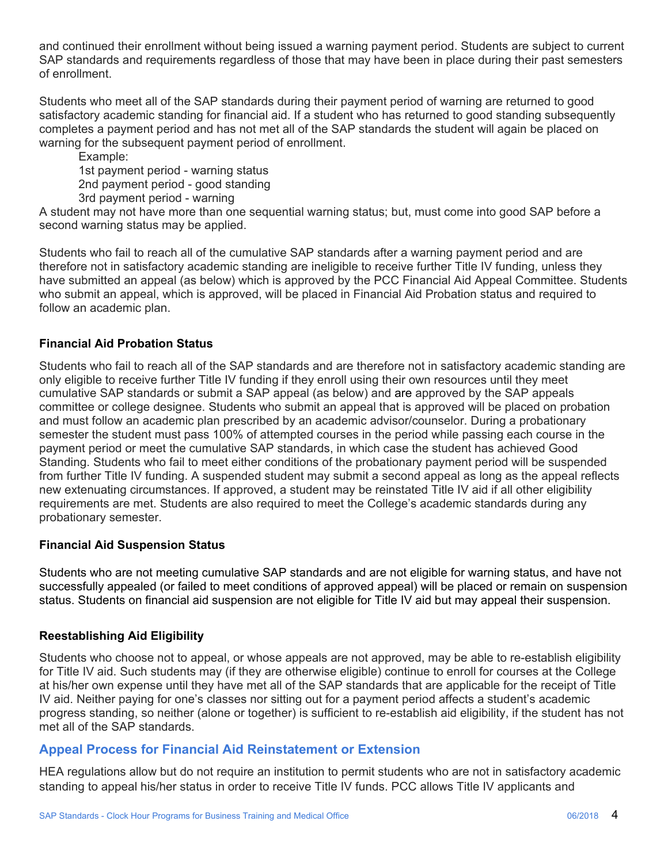and continued their enrollment without being issued a warning payment period. Students are subject to current SAP standards and requirements regardless of those that may have been in place during their past semesters of enrollment.

Students who meet all of the SAP standards during their payment period of warning are returned to good satisfactory academic standing for financial aid. If a student who has returned to good standing subsequently completes a payment period and has not met all of the SAP standards the student will again be placed on warning for the subsequent payment period of enrollment.

Example: 1st payment period - warning status 2nd payment period - good standing 3rd payment period - warning

A student may not have more than one sequential warning status; but, must come into good SAP before a second warning status may be applied.

Students who fail to reach all of the cumulative SAP standards after a warning payment period and are therefore not in satisfactory academic standing are ineligible to receive further Title IV funding, unless they have submitted an appeal (as below) which is approved by the PCC Financial Aid Appeal Committee. Students who submit an appeal, which is approved, will be placed in Financial Aid Probation status and required to follow an academic plan.

## **Financial Aid Probation Status**

Students who fail to reach all of the SAP standards and are therefore not in satisfactory academic standing are only eligible to receive further Title IV funding if they enroll using their own resources until they meet cumulative SAP standards or submit a SAP appeal (as below) and are approved by the SAP appeals committee or college designee. Students who submit an appeal that is approved will be placed on probation and must follow an academic plan prescribed by an academic advisor/counselor. During a probationary semester the student must pass 100% of attempted courses in the period while passing each course in the payment period or meet the cumulative SAP standards, in which case the student has achieved Good Standing. Students who fail to meet either conditions of the probationary payment period will be suspended from further Title IV funding. A suspended student may submit a second appeal as long as the appeal reflects new extenuating circumstances. If approved, a student may be reinstated Title IV aid if all other eligibility requirements are met. Students are also required to meet the College's academic standards during any probationary semester.

#### **Financial Aid Suspension Status**

Students who are not meeting cumulative SAP standards and are not eligible for warning status, and have not successfully appealed (or failed to meet conditions of approved appeal) will be placed or remain on suspension status. Students on financial aid suspension are not eligible for Title IV aid but may appeal their suspension.

#### **Reestablishing Aid Eligibility**

Students who choose not to appeal, or whose appeals are not approved, may be able to re-establish eligibility for Title IV aid. Such students may (if they are otherwise eligible) continue to enroll for courses at the College at his/her own expense until they have met all of the SAP standards that are applicable for the receipt of Title IV aid. Neither paying for one's classes nor sitting out for a payment period affects a student's academic progress standing, so neither (alone or together) is sufficient to re-establish aid eligibility, if the student has not met all of the SAP standards.

## **Appeal Process for Financial Aid Reinstatement or Extension**

HEA regulations allow but do not require an institution to permit students who are not in satisfactory academic standing to appeal his/her status in order to receive Title IV funds. PCC allows Title IV applicants and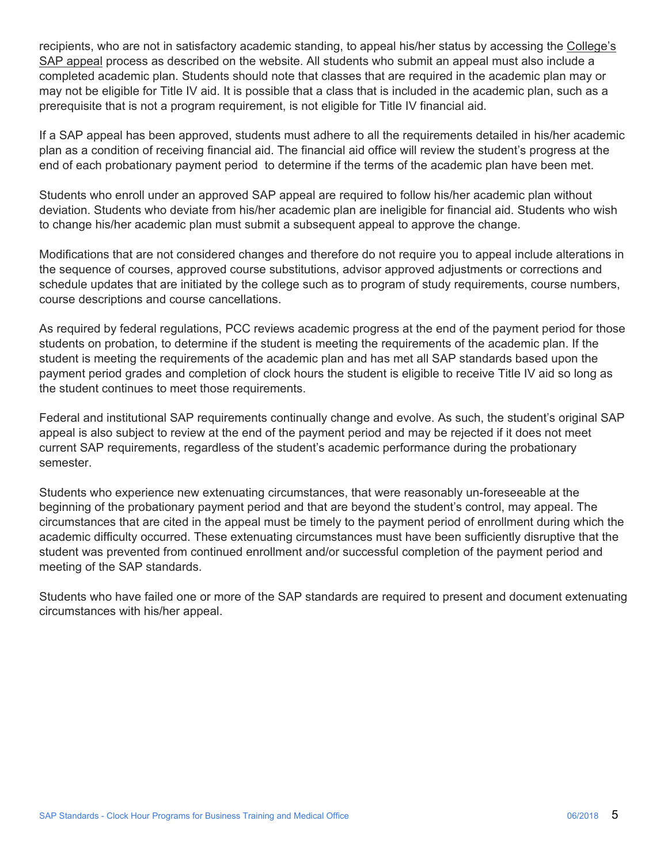prerequisite that is not a program requirement, is not eligible for Title IV financial aid. recipients, who are not in satisfactory academic standing, to appeal his/her status by accessing the College's SAP appeal process as described on the website. All students who submit an appeal must also include a completed academic plan. Students should note that classes that are required in the academic plan may or may not be eligible for Title IV aid. It is possible that a class that is included in the academic plan, such as a

If a SAP appeal has been approved, students must adhere to all the requirements detailed in his/her academic plan as a condition of receiving financial aid. The financial aid office will review the student's progress at the end of each probationary payment period to determine if the terms of the academic plan have been met.

Students who enroll under an approved SAP appeal are required to follow his/her academic plan without deviation. Students who deviate from his/her academic plan are ineligible for financial aid. Students who wish to change his/her academic plan must submit a subsequent appeal to approve the change.

Modifications that are not considered changes and therefore do not require you to appeal include alterations in the sequence of courses, approved course substitutions, advisor approved adjustments or corrections and schedule updates that are initiated by the college such as to program of study requirements, course numbers, course descriptions and course cancellations.

As required by federal regulations, PCC reviews academic progress at the end of the payment period for those students on probation, to determine if the student is meeting the requirements of the academic plan. If the student is meeting the requirements of the academic plan and has met all SAP standards based upon the payment period grades and completion of clock hours the student is eligible to receive Title IV aid so long as the student continues to meet those requirements.

Federal and institutional SAP requirements continually change and evolve. As such, the student's original SAP appeal is also subject to review at the end of the payment period and may be rejected if it does not meet current SAP requirements, regardless of the student's academic performance during the probationary semester.

Students who experience new extenuating circumstances, that were reasonably un-foreseeable at the beginning of the probationary payment period and that are beyond the student's control, may appeal. The circumstances that are cited in the appeal must be timely to the payment period of enrollment during which the academic difficulty occurred. These extenuating circumstances must have been sufficiently disruptive that the student was prevented from continued enrollment and/or successful completion of the payment period and meeting of the SAP standards.

Students who have failed one or more of the SAP standards are required to present and document extenuating circumstances with his/her appeal.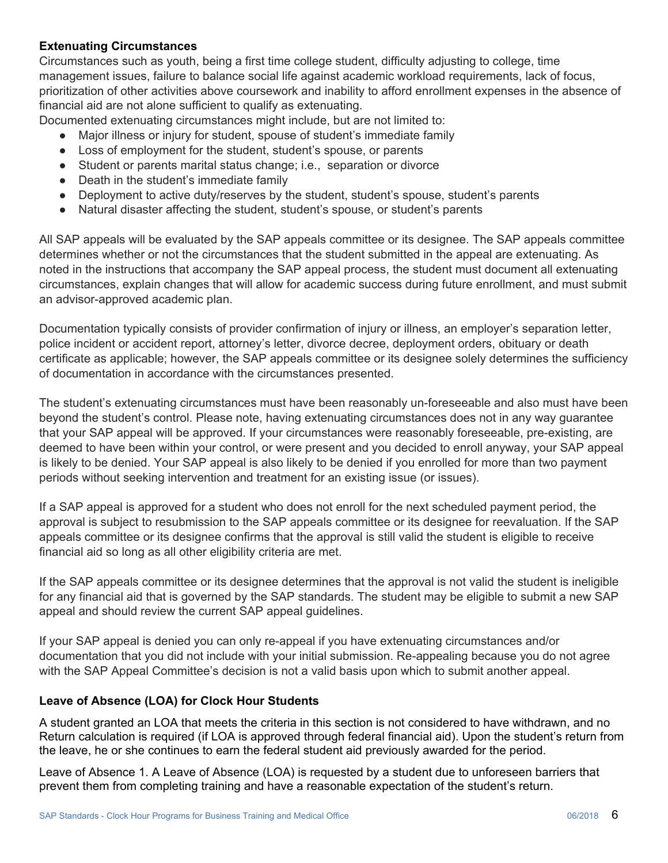#### **Extenuating Circumstances**

Circumstances such as youth, being a first time college student, difficulty adjusting to college, time management issues, failure to balance social life against academic workload requirements, lack of focus, prioritization of other activities above coursework and inability to afford enrollment expenses in the absence of financial aid are not alone sufficient to qualify as extenuating.

Documented extenuating circumstances might include, but are not limited to:

- Major illness or injury for student, spouse of student's immediate family
- Loss of employment for the student, student's spouse, or parents
- Student or parents marital status change; i.e., separation or divorce
- Death in the student's immediate family
- Deployment to active duty/reserves by the student, student's spouse, student's parents
- Natural disaster affecting the student, student's spouse, or student's parents

All SAP appeals will be evaluated by the SAP appeals committee or its designee. The SAP appeals committee determines whether or not the circumstances that the student submitted in the appeal are extenuating. As noted in the instructions that accompany the SAP appeal process, the student must document all extenuating circumstances, explain changes that will allow for academic success during future enrollment, and must submit an advisor-approved academic plan.

Documentation typically consists of provider confirmation of injury or illness, an employer's separation letter, police incident or accident report, attorney's letter, divorce decree, deployment orders, obituary or death certificate as applicable; however, the SAP appeals committee or its designee solely determines the sufficiency of documentation in accordance with the circumstances presented.

The student's extenuating circumstances must have been reasonably un-foreseeable and also must have been beyond the student's control. Please note, having extenuating circumstances does not in any way guarantee that your SAP appeal will be approved. If your circumstances were reasonably foreseeable, pre-existing, are deemed to have been within your control, or were present and you decided to enroll anyway, your SAP appeal is likely to be denied. Your SAP appeal is also likely to be denied if you enrolled for more than two payment periods without seeking intervention and treatment for an existing issue (or issues).

If a SAP appeal is approved for a student who does not enroll for the next scheduled payment period, the approval is subject to resubmission to the SAP appeals committee or its designee for reevaluation. If the SAP appeals committee or its designee confirms that the approval is still valid the student is eligible to receive financial aid so long as all other eligibility criteria are met.

If the SAP appeals committee or its designee determines that the approval is not valid the student is ineligible for any financial aid that is governed by the SAP standards. The student may be eligible to submit a new SAP appeal and should review the current SAP appeal guidelines.

If your SAP appeal is denied you can only re-appeal if you have extenuating circumstances and/or documentation that you did not include with your initial submission. Re-appealing because you do not agree with the SAP Appeal Committee's decision is not a valid basis upon which to submit another appeal.

#### **Leave of Absence (LOA) for Clock Hour Students**

A student granted an LOA that meets the criteria in this section is not considered to have withdrawn, and no Return calculation is required (if LOA is approved through federal financial aid). Upon the student's return from the leave, he or she continues to earn the federal student aid previously awarded for the period.

Leave of Absence 1. A Leave of Absence (LOA) is requested by a student due to unforeseen barriers that prevent them from completing training and have a reasonable expectation of the student's return.